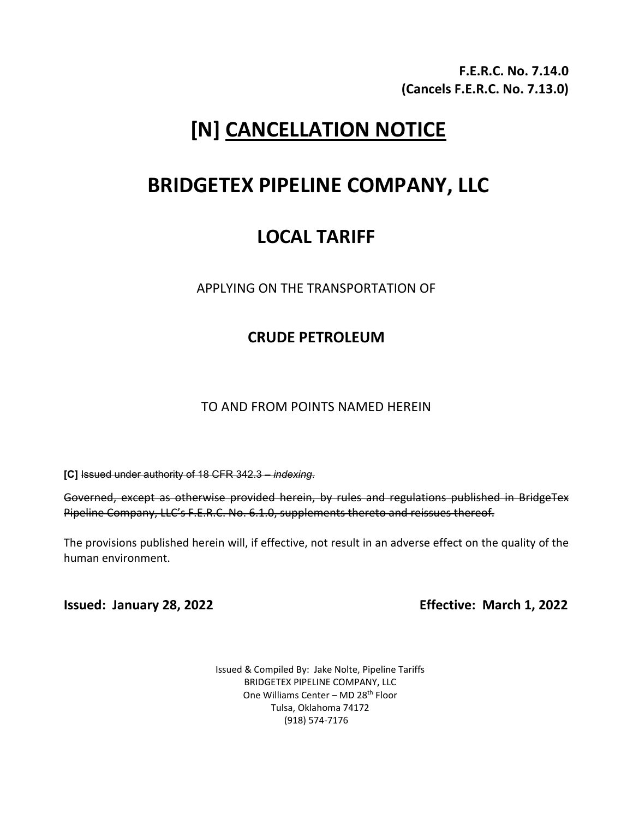**F.E.R.C. No. 7.14.0 (Cancels F.E.R.C. No. 7.13.0)**

# **[N] CANCELLATION NOTICE**

## **BRIDGETEX PIPELINE COMPANY, LLC**

## **LOCAL TARIFF**

APPLYING ON THE TRANSPORTATION OF

## **CRUDE PETROLEUM**

TO AND FROM POINTS NAMED HEREIN

**[C]** Issued under authority of 18 CFR 342.3 – *indexing*.

Governed, except as otherwise provided herein, by rules and regulations published in BridgeTex Pipeline Company, LLC's F.E.R.C. No. 6.1.0, supplements thereto and reissues thereof.

The provisions published herein will, if effective, not result in an adverse effect on the quality of the human environment.

**Issued: January 28, 2022 Effective: March 1, 2022**

Issued & Compiled By: Jake Nolte, Pipeline Tariffs BRIDGETEX PIPELINE COMPANY, LLC One Williams Center - MD 28<sup>th</sup> Floor Tulsa, Oklahoma 74172 (918) 574-7176